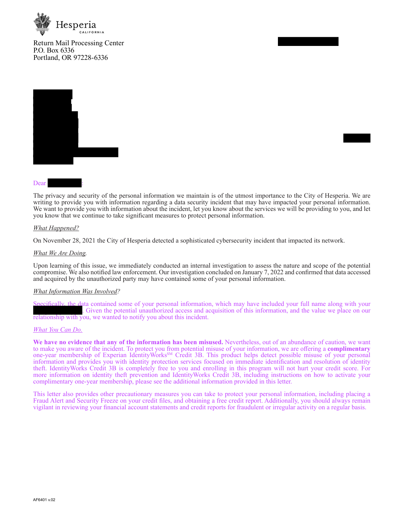

Return Mail Processing Center P.O. Box 6336 Portland, OR 97228-6336



### Dear

The privacy and security of the personal information we maintain is of the utmost importance to the City of Hesperia. We are writing to provide you with information regarding a data security incident that may have impacted your personal information. We want to provide you with information about the incident, let you know about the services we will be providing to you, and let you know that we continue to take significant measures to protect personal information.

### *What Happened?*

On November 28, 2021 the City of Hesperia detected a sophisticated cybersecurity incident that impacted its network.

#### *What We Are Doing.*

Upon learning of this issue, we immediately conducted an internal investigation to assess the nature and scope of the potential compromise. We also notified law enforcement. Our investigation concluded on January 7, 2022 and confirmed that data accessed and acquired by the unauthorized party may have contained some of your personal information.

#### *What Information Was Involved?*

Specifically, the data contained some of your personal information, which may have included your full name along with your . Given the potential unauthorized access and acquisition of this information, and the value we place on our relationship with you, we wanted to notify you about this incident.

#### *What You Can Do.*

**We have no evidence that any of the information has been misused.** Nevertheless, out of an abundance of caution, we want to make you aware of the incident. To protect you from potential misuse of your information, we are offering a **complimentary** one-year membership of Experian IdentityWorks<sup>SM</sup> Credit 3B. This product helps detect possible misuse of your personal information and provides you with identity protection services focused on immediate identification and resolution of identity theft. IdentityWorks Credit 3B is completely free to you and enrolling in this program will not hurt your credit score. For more information on identity theft prevention and IdentityWorks Credit 3B, including instructions on how to activate your complimentary one-year membership, please see the additional information provided in this letter.

This letter also provides other precautionary measures you can take to protect your personal information, including placing a Fraud Alert and Security Freeze on your credit files, and obtaining a free credit report. Additionally, you should always remain vigilant in reviewing your financial account statements and credit reports for fraudulent or irregular activity on a regular basis.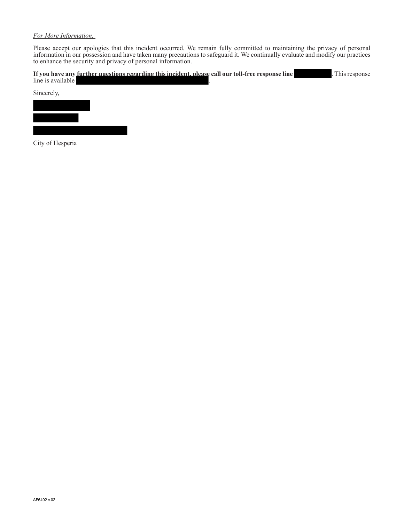## *For More Information.*

Please accept our apologies that this incident occurred. We remain fully committed to maintaining the privacy of personal information in our possession and have taken many precautions to safeguard it. We continually evaluate and modify our practices to enhance the security and privacy of personal information.

|                   | If you have any <u>further questions regarding this incident, please</u> call our toll-free response line | . This response |
|-------------------|-----------------------------------------------------------------------------------------------------------|-----------------|
| line is available |                                                                                                           |                 |
|                   |                                                                                                           |                 |



City of Hesperia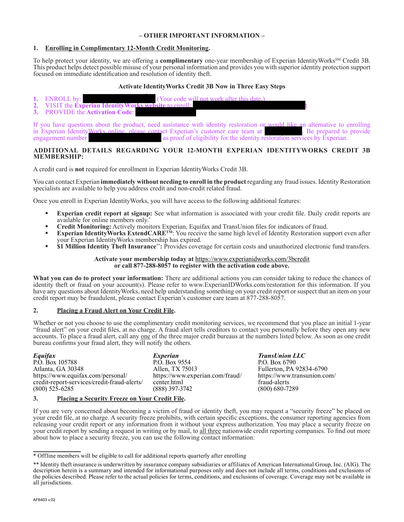## **– OTHER IMPORTANT INFORMATION –**

# **1. Enrolling in Complimentary 12-Month Credit Monitoring.**

To help protect your identity, we are offering a **complimentary** one-year membership of Experian IdentityWorks<sup>SM</sup> Credit 3B. This product helps detect possible misuse of your personal information and provides you with superior identity protection support focused on immediate identification and resolution of identity theft.

# **Activate IdentityWorks Credit 3B Now in Three Easy Steps**

- **1.** ENROLL by: (Your code will not work after this date<br>2. VISIT the **Experian Identity Works website** to enroll:
- **2.** VISIT the **Experian IdentityWorks w**<br>**3.** PROVIDE the **Activation Code**:
- **3.** PROVIDE the **Activation Code**:

If you have questions about the product, need assistance with identity restoration or would like an alternative to enrolling in Experian Identity Works online, please contact Experian's customer care team at . Be prepared in Experian IdentityWorks online, please contact Experian's customer care team at engagement number as proof of eligibility for the identity restoration services by Experian.

# **ADDITIONAL DETAILS REGARDING YOUR 12-MONTH EXPERIAN IDENTITYWORKS CREDIT 3B MEMBERSHIP:**

A credit card is **not** required for enrollment in Experian IdentityWorks Credit 3B.

You can contact Experian **immediately without needing to enroll in the product** regarding any fraud issues. Identity Restoration specialists are available to help you address credit and non-credit related fraud.

Once you enroll in Experian IdentityWorks, you will have access to the following additional features:

- **Experian credit report at signup:** See what information is associated with your credit file. Daily credit reports are available for online members only.\*
- **Credit Monitoring:** Actively monitors Experian, Equifax and TransUnion files for indicators of fraud.
- **Experian IdentityWorks ExtendCARE<sup>TM</sup>**: You receive the same high level of Identity Restoration support even after your Experian IdentityWorks membership has expired.
- **\$1 Million Identity Theft Insurance\*:** Provides coverage for certain costs and unauthorized electronic fund transfers.

### **Activate your membership today at** https://www.experianidworks.com/3bcredit **or call 877-288-8057 to register with the activation code above.**

**What you can do to protect your information:** There are additional actions you can consider taking to reduce the chances of identity theft or fraud on your account(s). Please refer to www.ExperianIDWorks.com/restoration for this information. If you have any questions about IdentityWorks, need help understanding something on your credit report or suspect that an item on your credit report may be fraudulent, please contact Experian's customer care team at 877-288-8057.

# **2. Placing a Fraud Alert on Your Credit File.**

Whether or not you choose to use the complimentary credit monitoring services, we recommend that you place an initial 1-year "fraud alert" on your credit files, at no charge. A fraud alert tells creditors to contact you personally before they open any new accounts. To place a fraud alert, call any one of the three major credit bureaus at the numbers listed below. As soon as one credit bureau confirms your fraud alert, they will notify the others.

*Equifax* P.O. Box 105788 Atlanta, GA 30348 https://www.equifax.com/personal/ credit-report-services/credit-fraud-alerts/ (800) 525-6285

*Experian*  P.O. Box 9554 Allen, TX 75013 https://www.experian.com/fraud/ center.html (888) 397-3742

*TransUnion LLC* P.O. Box 6790 Fullerton, PA 92834-6790 https://www.transunion.com/ fraud-alerts (800) 680-7289

# **3. Placing a Security Freeze on Your Credit File.**

If you are very concerned about becoming a victim of fraud or identity theft, you may request a "security freeze" be placed on your credit file, at no charge. A security freeze prohibits, with certain specific exceptions, the consumer reporting agencies from releasing your credit report or any information from it without your express authorization. You may place a security freeze on your credit report by sending a request in writing or by mail, to all three nationwide credit reporting companies. To find out more about how to place a security freeze, you can use the following contact information:

<sup>\*</sup> Offline members will be eligible to call for additional reports quarterly after enrolling

<sup>\*\*</sup> Identity theft insurance is underwritten by insurance company subsidiaries or affiliates of American International Group, Inc. (AIG). The description herein is a summary and intended for informational purposes only and does not include all terms, conditions and exclusions of the policies described. Please refer to the actual policies for terms, conditions, and exclusions of coverage. Coverage may not be available in all jurisdictions.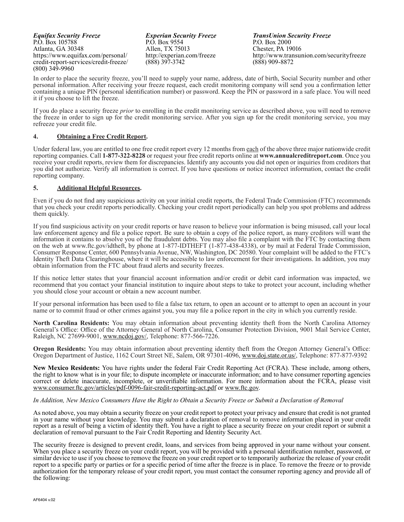*Equifax Security Freeze* P.O. Box 105788 Atlanta, GA 30348 https://www.equifax.com/personal/ credit-report-services/credit-freeze/ (800) 349-9960

*Experian Security Freeze* P.O. Box 9554 Allen, TX 75013 http://experian.com/freeze (888) 397-3742

*TransUnion Security Freeze* P.O. Box 2000 Chester, PA 19016 http://www.transunion.com/securityfreeze (888) 909-8872

In order to place the security freeze, you'll need to supply your name, address, date of birth, Social Security number and other personal information. After receiving your freeze request, each credit monitoring company will send you a confirmation letter containing a unique PIN (personal identification number) or password. Keep the PIN or password in a safe place. You will need it if you choose to lift the freeze.

If you do place a security freeze *prior* to enrolling in the credit monitoring service as described above, you will need to remove the freeze in order to sign up for the credit monitoring service. After you sign up for the credit monitoring service, you may refreeze your credit file.

## **4. Obtaining a Free Credit Report.**

Under federal law, you are entitled to one free credit report every 12 months from each of the above three major nationwide credit reporting companies. Call **1-877-322-8228** or request your free credit reports online at **www.annualcreditreport.com**. Once you receive your credit reports, review them for discrepancies. Identify any accounts you did not open or inquiries from creditors that you did not authorize. Verify all information is correct. If you have questions or notice incorrect information, contact the credit reporting company.

### **5. Additional Helpful Resources.**

Even if you do not find any suspicious activity on your initial credit reports, the Federal Trade Commission (FTC) recommends that you check your credit reports periodically. Checking your credit report periodically can help you spot problems and address them quickly.

If you find suspicious activity on your credit reports or have reason to believe your information is being misused, call your local law enforcement agency and file a police report. Be sure to obtain a copy of the police report, as many creditors will want the information it contains to absolve you of the fraudulent debts. You may also file a complaint with the FTC by contacting them on the web at www.ftc.gov/idtheft, by phone at 1-877-IDTHEFT (1-877-438-4338), or by mail at Federal Trade Commission, Consumer Response Center, 600 Pennsylvania Avenue, NW, Washington, DC 20580. Your complaint will be added to the FTC's Identity Theft Data Clearinghouse, where it will be accessible to law enforcement for their investigations. In addition, you may obtain information from the FTC about fraud alerts and security freezes.

If this notice letter states that your financial account information and/or credit or debit card information was impacted, we recommend that you contact your financial institution to inquire about steps to take to protect your account, including whether you should close your account or obtain a new account number.

If your personal information has been used to file a false tax return, to open an account or to attempt to open an account in your name or to commit fraud or other crimes against you, you may file a police report in the city in which you currently reside.

**North Carolina Residents:** You may obtain information about preventing identity theft from the North Carolina Attorney General's Office: Office of the Attorney General of North Carolina, Consumer Protection Division, 9001 Mail Service Center, Raleigh, NC 27699-9001, www.ncdoj.gov/, Telephone: 877-566-7226.

**Oregon Residents:** You may obtain information about preventing identity theft from the Oregon Attorney General's Office: Oregon Department of Justice, 1162 Court Street NE, Salem, OR 97301-4096, www.doj.state.or.us/, Telephone: 877-877-9392

**New Mexico Residents:** You have rights under the federal Fair Credit Reporting Act (FCRA). These include, among others, the right to know what is in your file; to dispute incomplete or inaccurate information; and to have consumer reporting agencies correct or delete inaccurate, incomplete, or unverifiable information. For more information about the FCRA, please visit www.consumer.ftc.gov/articles/pdf-0096-fair-credit-reporting-act.pdf or www.ftc.gov.

### *In Addition, New Mexico Consumers Have the Right to Obtain a Security Freeze or Submit a Declaration of Removal*

As noted above, you may obtain a security freeze on your credit report to protect your privacy and ensure that credit is not granted in your name without your knowledge. You may submit a declaration of removal to remove information placed in your credit report as a result of being a victim of identity theft. You have a right to place a security freeze on your credit report or submit a declaration of removal pursuant to the Fair Credit Reporting and Identity Security Act.

The security freeze is designed to prevent credit, loans, and services from being approved in your name without your consent. When you place a security freeze on your credit report, you will be provided with a personal identification number, password, or similar device to use if you choose to remove the freeze on your credit report or to temporarily authorize the release of your credit report to a specific party or parties or for a specific period of time after the freeze is in place. To remove the freeze or to provide authorization for the temporary release of your credit report, you must contact the consumer reporting agency and provide all of the following: